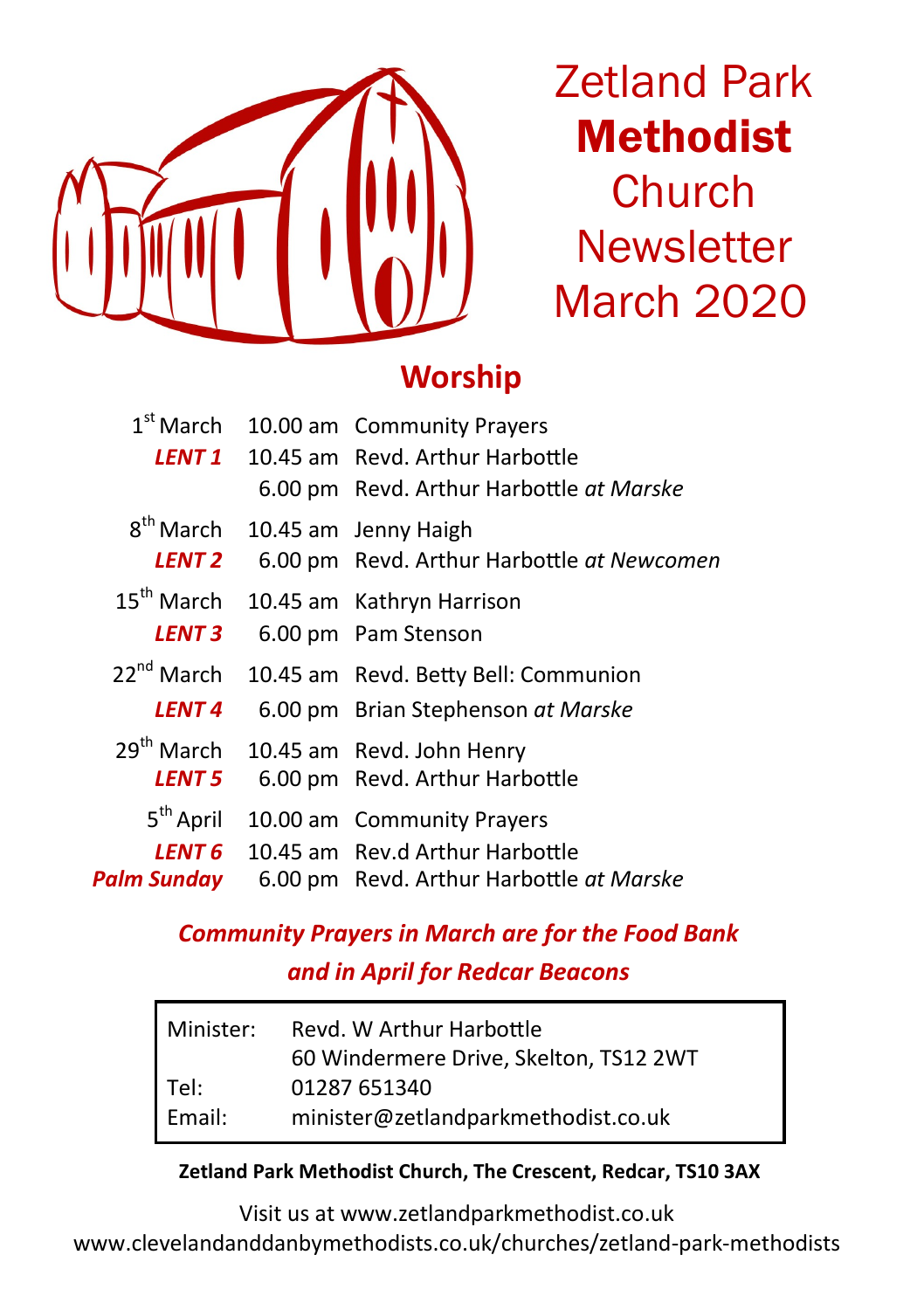

Zetland Park Methodist **Church Newsletter** March 2020

## **Worship**

| LENT 1                                         | 1 <sup>st</sup> March 10.00 am Community Prayers<br>10.45 am Revd. Arthur Harbottle<br>6.00 pm Revd. Arthur Harbottle at Marske |
|------------------------------------------------|---------------------------------------------------------------------------------------------------------------------------------|
| 8 <sup>th</sup> March<br>LENT 2                | 10.45 am Jenny Haigh<br>6.00 pm Revd. Arthur Harbottle at Newcomen                                                              |
| $15^{\text{th}}$ March<br><b>LENT 3</b>        | 10.45 am Kathryn Harrison<br>6.00 pm Pam Stenson                                                                                |
| $22^{nd}$ March<br><b>LFNT 4</b>               | 10.45 am Revd. Betty Bell: Communion<br>6.00 pm Brian Stephenson at Marske                                                      |
| $29th$ March<br><b>LENT 5</b>                  | 10.45 am Revd. John Henry<br>6.00 pm Revd. Arthur Harbottle                                                                     |
| 5 <sup>th</sup> April<br>LENT 6<br>Palm Sunday | 10.00 am Community Prayers<br>10.45 am Rev.d Arthur Harbottle<br>6.00 pm Revd. Arthur Harbottle at Marske                       |
|                                                |                                                                                                                                 |

## *Community Prayers in March are for the Food Bank and in April for Redcar Beacons*

| Minister: | Revd. W Arthur Harbottle               |  |  |
|-----------|----------------------------------------|--|--|
|           | 60 Windermere Drive, Skelton, TS12 2WT |  |  |
| Tel:      | 01287 651340                           |  |  |
| Email:    | minister@zetlandparkmethodist.co.uk    |  |  |

### **Zetland Park Methodist Church, The Crescent, Redcar, TS10 3AX**

Visit us at [www.zetlandparkmethodist.co.uk](http://www.zetlandparkmethodist.co.uk) [www.clevelandanddanbymethodists.co.uk/churches/zetland](http://www.clevelandanddanbymethodists.co.uk/churches/zetland-park-methodists)-park-methodists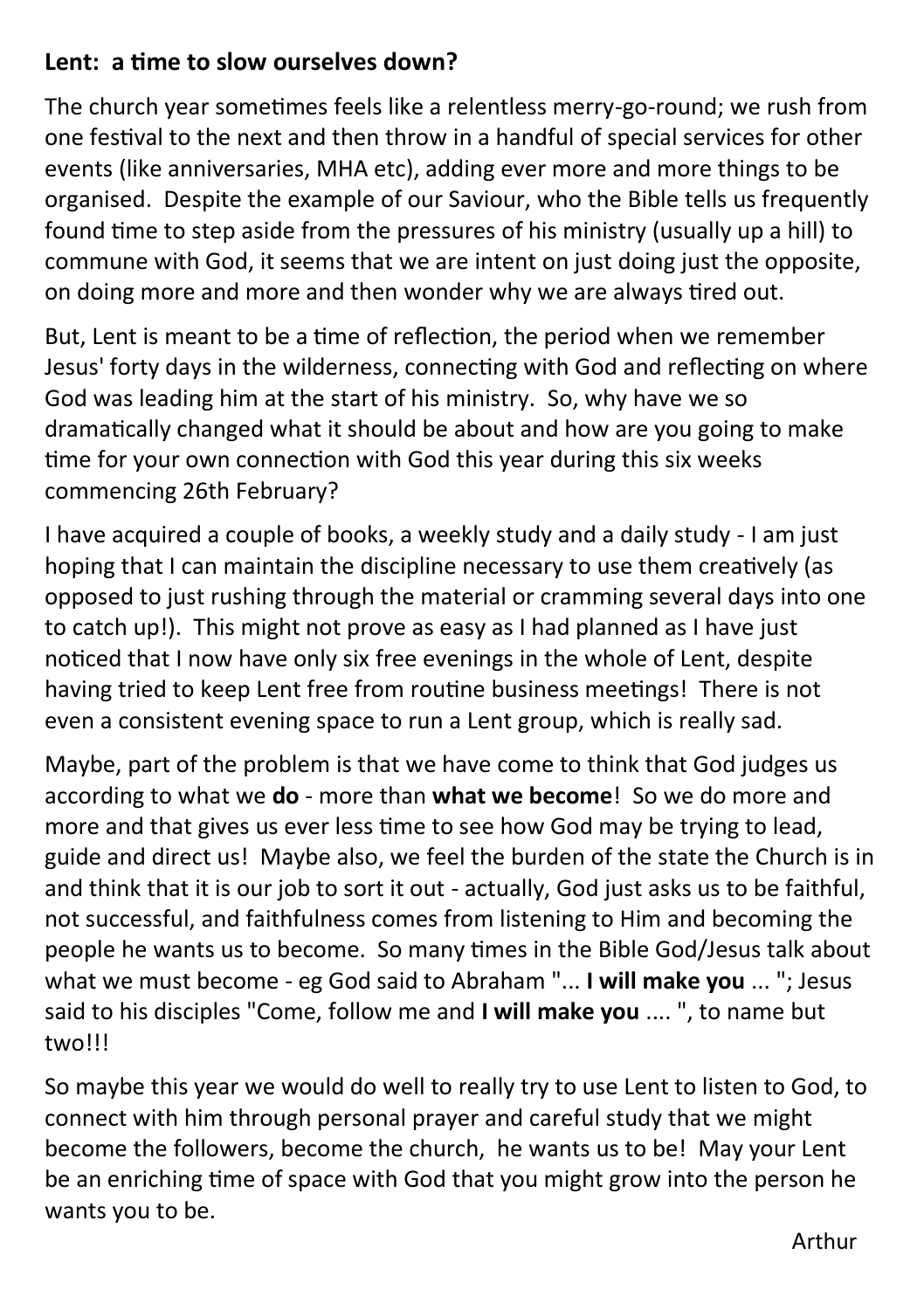### **Lent: a time to slow ourselves down?**

The church year sometimes feels like a relentless merry-go-round; we rush from one festival to the next and then throw in a handful of special services for other events (like anniversaries, MHA etc), adding ever more and more things to be organised. Despite the example of our Saviour, who the Bible tells us frequently found time to step aside from the pressures of his ministry (usually up a hill) to commune with God, it seems that we are intent on just doing just the opposite, on doing more and more and then wonder why we are always tired out.

But, Lent is meant to be a time of reflection, the period when we remember Jesus' forty days in the wilderness, connecting with God and reflecting on where God was leading him at the start of his ministry. So, why have we so dramatically changed what it should be about and how are you going to make time for your own connection with God this year during this six weeks commencing 26th February?

I have acquired a couple of books, a weekly study and a daily study - I am just hoping that I can maintain the discipline necessary to use them creatively (as opposed to just rushing through the material or cramming several days into one to catch up!). This might not prove as easy as I had planned as I have just noticed that I now have only six free evenings in the whole of Lent, despite having tried to keep Lent free from routine business meetings! There is not even a consistent evening space to run a Lent group, which is really sad.

Maybe, part of the problem is that we have come to think that God judges us according to what we **do** - more than **what we become**! So we do more and more and that gives us ever less time to see how God may be trying to lead, guide and direct us! Maybe also, we feel the burden of the state the Church is in and think that it is our job to sort it out - actually, God just asks us to be faithful, not successful, and faithfulness comes from listening to Him and becoming the people he wants us to become. So many times in the Bible God/Jesus talk about what we must become - eg God said to Abraham "... **I will make you** ... "; Jesus said to his disciples "Come, follow me and **I will make you** .... ", to name but two!!!

So maybe this year we would do well to really try to use Lent to listen to God, to connect with him through personal prayer and careful study that we might become the followers, become the church, he wants us to be! May your Lent be an enriching time of space with God that you might grow into the person he wants you to be.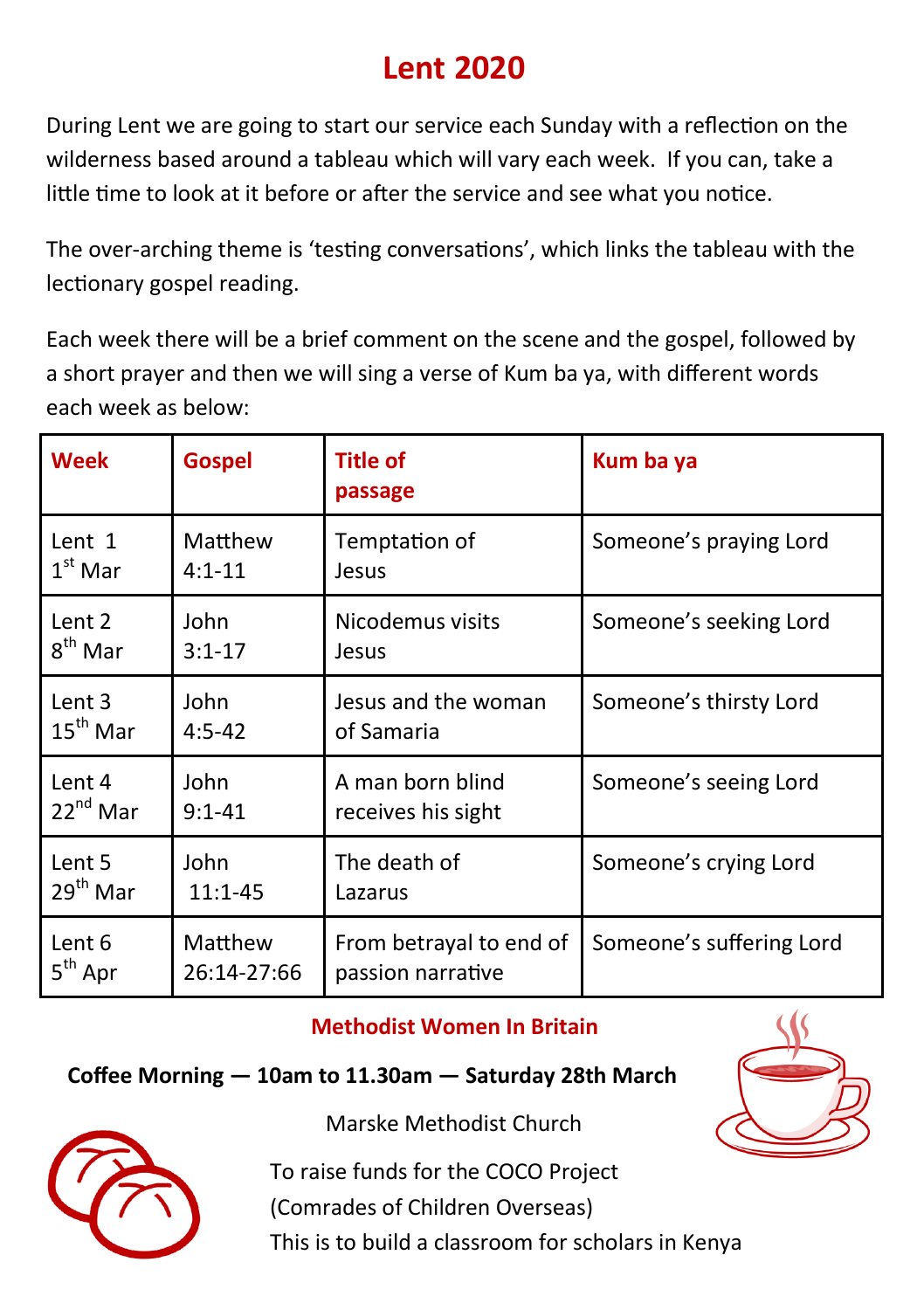# **Lent 2020**

During Lent we are going to start our service each Sunday with a reflection on the wilderness based around a tableau which will vary each week. If you can, take a little time to look at it before or after the service and see what you notice.

The over-arching theme is 'testing conversations', which links the tableau with the lectionary gospel reading.

Each week there will be a brief comment on the scene and the gospel, followed by a short prayer and then we will sing a verse of Kum ba ya, with different words each week as below:

| <b>Week</b>          | <b>Gospel</b> | <b>Title of</b><br>passage | Kum ba ya                |
|----------------------|---------------|----------------------------|--------------------------|
| Lent 1               | Matthew       | Temptation of              | Someone's praying Lord   |
| $1st$ Mar            | $4:1 - 11$    | Jesus                      |                          |
| Lent 2               | John          | Nicodemus visits           | Someone's seeking Lord   |
| 8 <sup>th</sup> Mar  | $3:1 - 17$    | Jesus                      |                          |
| Lent 3               | John          | Jesus and the woman        | Someone's thirsty Lord   |
| $15^{\text{th}}$ Mar | $4:5 - 42$    | of Samaria                 |                          |
| Lent 4               | John          | A man born blind           | Someone's seeing Lord    |
| $22^{nd}$ Mar        | $9:1 - 41$    | receives his sight         |                          |
| Lent 5               | John          | The death of               | Someone's crying Lord    |
| $29th$ Mar           | $11:1 - 45$   | Lazarus                    |                          |
| Lent 6               | Matthew       | From betrayal to end of    | Someone's suffering Lord |
| $5th$ Apr            | 26:14-27:66   | passion narrative          |                          |

### **Methodist Women In Britain**

### **Coffee Morning — 10am to 11.30am — Saturday 28th March**





Marske Methodist Church

To raise funds for the COCO Project

(Comrades of Children Overseas)

This is to build a classroom for scholars in Kenya